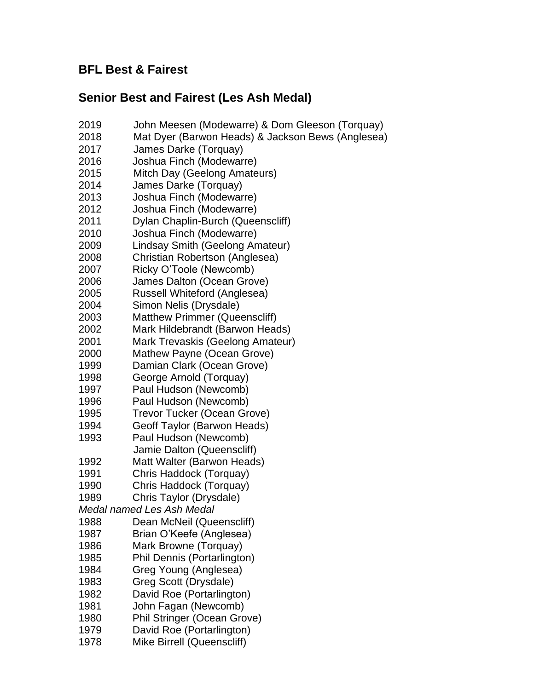# **BFL Best & Fairest**

# **Senior Best and Fairest (Les Ash Medal)**

- John Meesen (Modewarre) & Dom Gleeson (Torquay)
- Mat Dyer (Barwon Heads) & Jackson Bews (Anglesea)
- James Darke (Torquay)
- Joshua Finch (Modewarre)
- Mitch Day (Geelong Amateurs)
- James Darke (Torquay)
- Joshua Finch (Modewarre)
- Joshua Finch (Modewarre)
- Dylan Chaplin-Burch (Queenscliff)
- Joshua Finch (Modewarre)
- Lindsay Smith (Geelong Amateur)
- Christian Robertson (Anglesea)
- Ricky O'Toole (Newcomb)
- James Dalton (Ocean Grove)
- Russell Whiteford (Anglesea)
- Simon Nelis (Drysdale)
- Matthew Primmer (Queenscliff)
- Mark Hildebrandt (Barwon Heads)
- Mark Trevaskis (Geelong Amateur)
- Mathew Payne (Ocean Grove)
- Damian Clark (Ocean Grove)
- George Arnold (Torquay)
- Paul Hudson (Newcomb)
- Paul Hudson (Newcomb)
- Trevor Tucker (Ocean Grove)
- Geoff Taylor (Barwon Heads)
- Paul Hudson (Newcomb) Jamie Dalton (Queenscliff)
- Matt Walter (Barwon Heads)
- Chris Haddock (Torquay)
- Chris Haddock (Torquay)
- Chris Taylor (Drysdale)
- *Medal named Les Ash Medal*
- Dean McNeil (Queenscliff)
- Brian O'Keefe (Anglesea)
- Mark Browne (Torquay)
- Phil Dennis (Portarlington)
- Greg Young (Anglesea)
- Greg Scott (Drysdale)
- David Roe (Portarlington)
- John Fagan (Newcomb)
- Phil Stringer (Ocean Grove)
- David Roe (Portarlington)
- Mike Birrell (Queenscliff)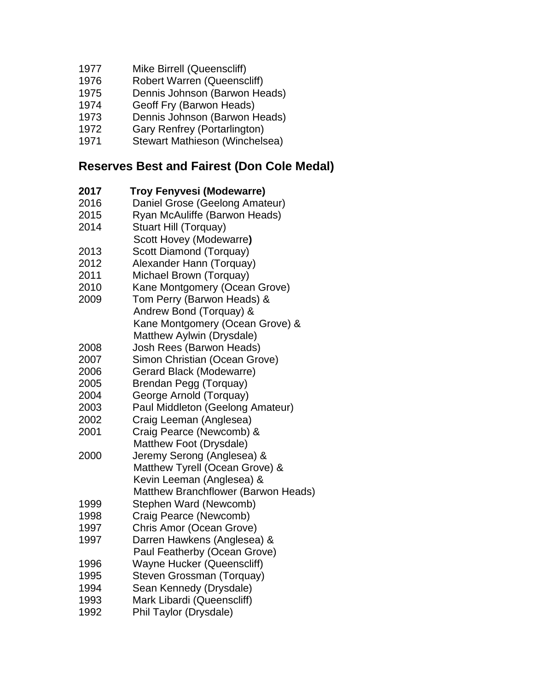- Mike Birrell (Queenscliff)
- Robert Warren (Queenscliff)
- Dennis Johnson (Barwon Heads)
- Geoff Fry (Barwon Heads)
- Dennis Johnson (Barwon Heads)
- Gary Renfrey (Portarlington)
- Stewart Mathieson (Winchelsea)

### **Reserves Best and Fairest (Don Cole Medal)**

- **Troy Fenyvesi (Modewarre)**
- Daniel Grose (Geelong Amateur)
- Ryan McAuliffe (Barwon Heads)
- Stuart Hill (Torquay)
- Scott Hovey (Modewarre**)**
- Scott Diamond (Torquay)
- Alexander Hann (Torquay)
- Michael Brown (Torquay)
- Kane Montgomery (Ocean Grove)
- Tom Perry (Barwon Heads) & Andrew Bond (Torquay) & Kane Montgomery (Ocean Grove) &
- Matthew Aylwin (Drysdale)
- Josh Rees (Barwon Heads)
- Simon Christian (Ocean Grove)
- Gerard Black (Modewarre)
- Brendan Pegg (Torquay)
- George Arnold (Torquay)
- Paul Middleton (Geelong Amateur)
- Craig Leeman (Anglesea)
- Craig Pearce (Newcomb) & Matthew Foot (Drysdale)
- Jeremy Serong (Anglesea) & Matthew Tyrell (Ocean Grove) & Kevin Leeman (Anglesea) &
- Matthew Branchflower (Barwon Heads)
- Stephen Ward (Newcomb)
- Craig Pearce (Newcomb)
- Chris Amor (Ocean Grove) Darren Hawkens (Anglesea) &
- Paul Featherby (Ocean Grove)
- Wayne Hucker (Queenscliff)
- Steven Grossman (Torquay)
- Sean Kennedy (Drysdale)
- Mark Libardi (Queenscliff)
- Phil Taylor (Drysdale)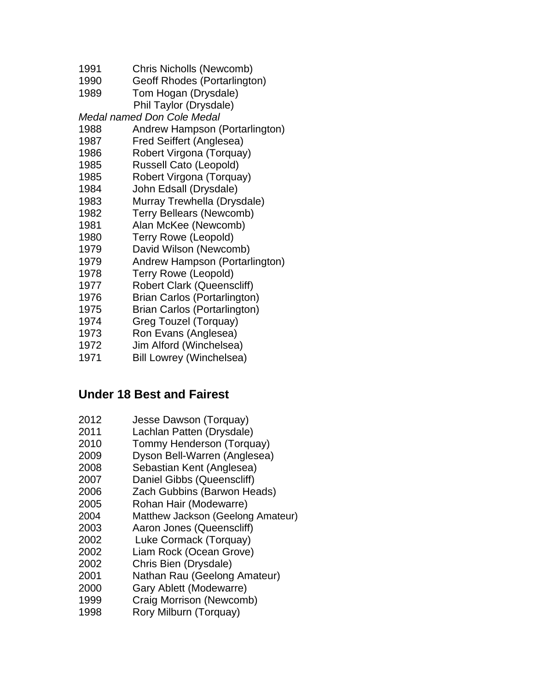- Chris Nicholls (Newcomb)
- Geoff Rhodes (Portarlington)
- Tom Hogan (Drysdale)
- Phil Taylor (Drysdale)
- *Medal named Don Cole Medal*
- Andrew Hampson (Portarlington)
- Fred Seiffert (Anglesea)
- Robert Virgona (Torquay)
- Russell Cato (Leopold)
- Robert Virgona (Torquay)
- John Edsall (Drysdale)
- Murray Trewhella (Drysdale)
- Terry Bellears (Newcomb)
- Alan McKee (Newcomb)
- Terry Rowe (Leopold)
- David Wilson (Newcomb)
- Andrew Hampson (Portarlington)
- Terry Rowe (Leopold)
- Robert Clark (Queenscliff)
- Brian Carlos (Portarlington)
- Brian Carlos (Portarlington)
- Greg Touzel (Torquay)
- Ron Evans (Anglesea)
- Jim Alford (Winchelsea)
- Bill Lowrey (Winchelsea)

## **Under 18 Best and Fairest**

- Jesse Dawson (Torquay)
- Lachlan Patten (Drysdale)
- Tommy Henderson (Torquay)
- Dyson Bell-Warren (Anglesea)
- Sebastian Kent (Anglesea)
- Daniel Gibbs (Queenscliff)
- Zach Gubbins (Barwon Heads)
- Rohan Hair (Modewarre)
- Matthew Jackson (Geelong Amateur)
- Aaron Jones (Queenscliff)
- Luke Cormack (Torquay)
- Liam Rock (Ocean Grove)
- Chris Bien (Drysdale)
- Nathan Rau (Geelong Amateur)
- Gary Ablett (Modewarre)
- Craig Morrison (Newcomb)
- Rory Milburn (Torquay)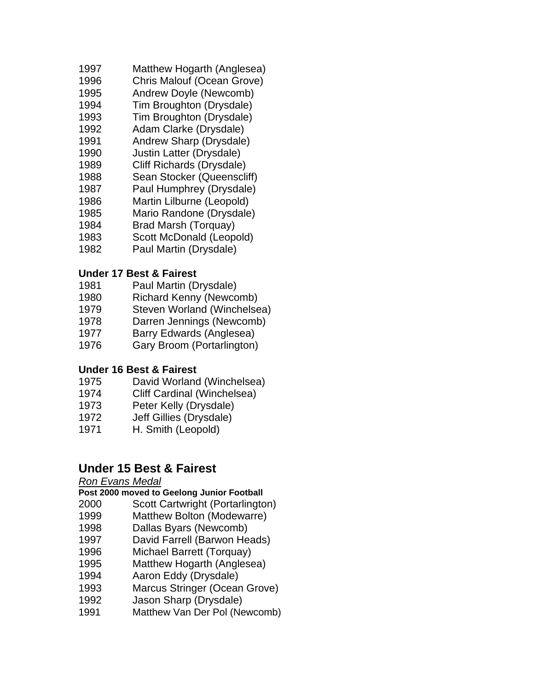- Matthew Hogarth (Anglesea)
- Chris Malouf (Ocean Grove)
- Andrew Doyle (Newcomb)
- Tim Broughton (Drysdale)
- Tim Broughton (Drysdale)
- Adam Clarke (Drysdale)
- Andrew Sharp (Drysdale)
- Justin Latter (Drysdale)
- Cliff Richards (Drysdale)
- Sean Stocker (Queenscliff)
- Paul Humphrey (Drysdale)
- Martin Lilburne (Leopold)
- Mario Randone (Drysdale)
- Brad Marsh (Torquay)
- Scott McDonald (Leopold)
- Paul Martin (Drysdale)

### **Under 17 Best & Fairest**

- Paul Martin (Drysdale)
- Richard Kenny (Newcomb)
- Steven Worland (Winchelsea)
- Darren Jennings (Newcomb)
- Barry Edwards (Anglesea)
- Gary Broom (Portarlington)

### **Under 16 Best & Fairest**

- David Worland (Winchelsea)
- Cliff Cardinal (Winchelsea)
- Peter Kelly (Drysdale)
- Jeff Gillies (Drysdale)
- H. Smith (Leopold)

## **Under 15 Best & Fairest**

#### *Ron Evans Medal*

#### **Post 2000 moved to Geelong Junior Football**

- Scott Cartwright (Portarlington)
- Matthew Bolton (Modewarre)
- Dallas Byars (Newcomb)
- David Farrell (Barwon Heads)
- Michael Barrett (Torquay)
- Matthew Hogarth (Anglesea)
- Aaron Eddy (Drysdale)
- Marcus Stringer (Ocean Grove)
- Jason Sharp (Drysdale)
- Matthew Van Der Pol (Newcomb)